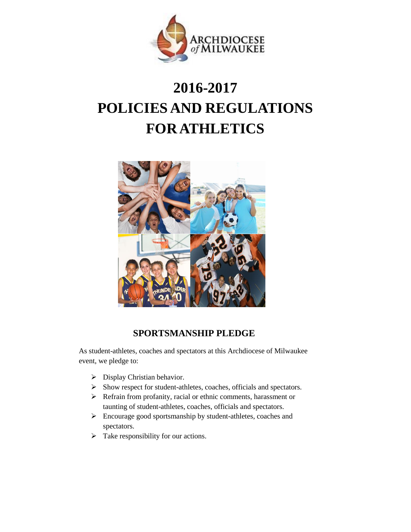

# **2016-2017 POLICIES AND REGULATIONS FOR ATHLETICS**



# **SPORTSMANSHIP PLEDGE**

As student-athletes, coaches and spectators at this Archdiocese of Milwaukee event, we pledge to:

- $\triangleright$  Display Christian behavior.
- $\triangleright$  Show respect for student-athletes, coaches, officials and spectators.
- Refrain from profanity, racial or ethnic comments, harassment or taunting of student-athletes, coaches, officials and spectators.
- Encourage good sportsmanship by student-athletes, coaches and spectators.
- $\triangleright$  Take responsibility for our actions.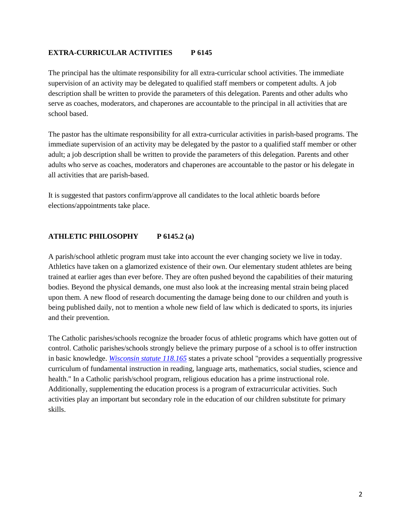## **EXTRA-CURRICULAR ACTIVITIES P 6145**

The principal has the ultimate responsibility for all extra-curricular school activities. The immediate supervision of an activity may be delegated to qualified staff members or competent adults. A job description shall be written to provide the parameters of this delegation. Parents and other adults who serve as coaches, moderators, and chaperones are accountable to the principal in all activities that are school based.

The pastor has the ultimate responsibility for all extra-curricular activities in parish-based programs. The immediate supervision of an activity may be delegated by the pastor to a qualified staff member or other adult; a job description shall be written to provide the parameters of this delegation. Parents and other adults who serve as coaches, moderators and chaperones are accountable to the pastor or his delegate in all activities that are parish-based.

It is suggested that pastors confirm/approve all candidates to the local athletic boards before elections/appointments take place.

# **ATHLETIC PHILOSOPHY P 6145.2 (a)**

A parish/school athletic program must take into account the ever changing society we live in today. Athletics have taken on a glamorized existence of their own. Our elementary student athletes are being trained at earlier ages than ever before. They are often pushed beyond the capabilities of their maturing bodies. Beyond the physical demands, one must also look at the increasing mental strain being placed upon them. A new flood of research documenting the damage being done to our children and youth is being published daily, not to mention a whole new field of law which is dedicated to sports, its injuries and their prevention.

The Catholic parishes/schools recognize the broader focus of athletic programs which have gotten out of control. Catholic parishes/schools strongly believe the primary purpose of a school is to offer instruction in basic knowledge. *[Wisconsin statute 118.165](https://docs.legis.wisconsin.gov/statutes/statutes/118.pdf#page=21)* states a private school "provides a sequentially progressive curriculum of fundamental instruction in reading, language arts, mathematics, social studies, science and health." In a Catholic parish/school program, religious education has a prime instructional role. Additionally, supplementing the education process is a program of extracurricular activities. Such activities play an important but secondary role in the education of our children substitute for primary skills.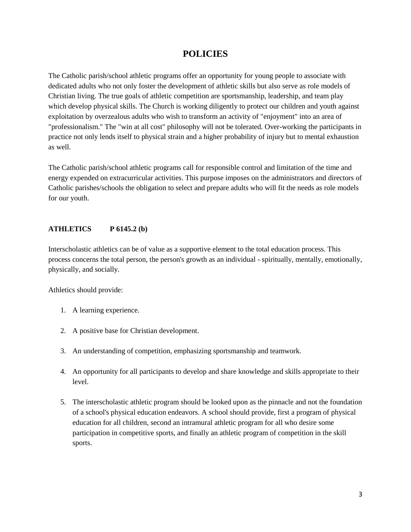# **POLICIES**

The Catholic parish/school athletic programs offer an opportunity for young people to associate with dedicated adults who not only foster the development of athletic skills but also serve as role models of Christian living. The true goals of athletic competition are sportsmanship, leadership, and team play which develop physical skills. The Church is working diligently to protect our children and youth against exploitation by overzealous adults who wish to transform an activity of "enjoyment" into an area of "professionalism." The "win at all cost" philosophy will not be tolerated. Over-working the participants in practice not only lends itself to physical strain and a higher probability of injury but to mental exhaustion as well.

The Catholic parish/school athletic programs call for responsible control and limitation of the time and energy expended on extracurricular activities. This purpose imposes on the administrators and directors of Catholic parishes/schools the obligation to select and prepare adults who will fit the needs as role models for our youth.

#### **ATHLETICS P 6145.2 (b)**

Interscholastic athletics can be of value as a supportive element to the total education process. This process concerns the total person, the person's growth as an individual - spiritually, mentally, emotionally, physically, and socially.

Athletics should provide:

- 1. A learning experience.
- 2. A positive base for Christian development.
- 3. An understanding of competition, emphasizing sportsmanship and teamwork.
- 4. An opportunity for all participants to develop and share knowledge and skills appropriate to their level.
- 5. The interscholastic athletic program should be looked upon as the pinnacle and not the foundation of a school's physical education endeavors. A school should provide, first a program of physical education for all children, second an intramural athletic program for all who desire some participation in competitive sports, and finally an athletic program of competition in the skill sports.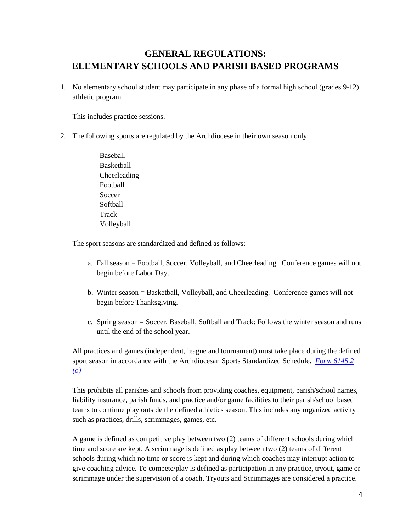# **GENERAL REGULATIONS: ELEMENTARY SCHOOLS AND PARISH BASED PROGRAMS**

1. No elementary school student may participate in any phase of a formal high school (grades 9-12) athletic program.

This includes practice sessions.

- 2. The following sports are regulated by the Archdiocese in their own season only:
	- Baseball **Basketball** Cheerleading Football Soccer **Softball Track** Volleyball

The sport seasons are standardized and defined as follows:

- a. Fall season = Football, Soccer, Volleyball, and Cheerleading. Conference games will not begin before Labor Day.
- b. Winter season = Basketball, Volleyball, and Cheerleading. Conference games will not begin before Thanksgiving.
- c. Spring season = Soccer, Baseball, Softball and Track: Follows the winter season and runs until the end of the school year.

All practices and games (independent, league and tournament) must take place during the defined sport season in accordance with the Archdiocesan Sports Standardized Schedule. *[Form 6145.2](http://www.archmil.org/Resources-2.0/Archdiocesan-Sports-Standardized-Schedule.htm)  [\(o\)](http://www.archmil.org/Resources-2.0/Archdiocesan-Sports-Standardized-Schedule.htm)*

This prohibits all parishes and schools from providing coaches, equipment, parish/school names, liability insurance, parish funds, and practice and/or game facilities to their parish/school based teams to continue play outside the defined athletics season. This includes any organized activity such as practices, drills, scrimmages, games, etc.

A game is defined as competitive play between two (2) teams of different schools during which time and score are kept. A scrimmage is defined as play between two (2) teams of different schools during which no time or score is kept and during which coaches may interrupt action to give coaching advice. To compete/play is defined as participation in any practice, tryout, game or scrimmage under the supervision of a coach. Tryouts and Scrimmages are considered a practice.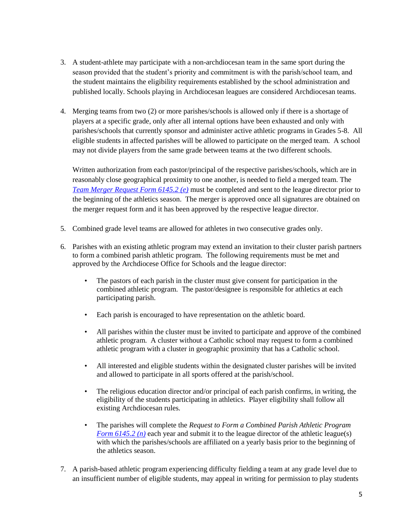- 3. A student-athlete may participate with a non-archdiocesan team in the same sport during the season provided that the student's priority and commitment is with the parish/school team, and the student maintains the eligibility requirements established by the school administration and published locally. Schools playing in Archdiocesan leagues are considered Archdiocesan teams.
- 4. Merging teams from two (2) or more parishes/schools is allowed only if there is a shortage of players at a specific grade, only after all internal options have been exhausted and only with parishes/schools that currently sponsor and administer active athletic programs in Grades 5-8. All eligible students in affected parishes will be allowed to participate on the merged team. A school may not divide players from the same grade between teams at the two different schools.

Written authorization from each pastor/principal of the respective parishes/schools, which are in reasonably close geographical proximity to one another, is needed to field a merged team. The *[Team Merger Request Form 6145.2 \(e\)](http://www.archmil.org/Resources-2.0/Team-Merger-Request.htm)* must be completed and sent to the league director prior to the beginning of the athletics season. The merger is approved once all signatures are obtained on the merger request form and it has been approved by the respective league director.

- 5. Combined grade level teams are allowed for athletes in two consecutive grades only.
- 6. Parishes with an existing athletic program may extend an invitation to their cluster parish partners to form a combined parish athletic program. The following requirements must be met and approved by the Archdiocese Office for Schools and the league director:
	- The pastors of each parish in the cluster must give consent for participation in the combined athletic program. The pastor/designee is responsible for athletics at each participating parish.
	- Each parish is encouraged to have representation on the athletic board.
	- All parishes within the cluster must be invited to participate and approve of the combined athletic program. A cluster without a Catholic school may request to form a combined athletic program with a cluster in geographic proximity that has a Catholic school.
	- All interested and eligible students within the designated cluster parishes will be invited and allowed to participate in all sports offered at the parish/school.
	- The religious education director and/or principal of each parish confirms, in writing, the eligibility of the students participating in athletics. Player eligibility shall follow all existing Archdiocesan rules.
	- The parishes will complete the *Request to Form a Combined Parish Athletic Program [Form 6145.2 \(n\)](http://www.archmil.org/Resources-2.0/6145.2-n-Combined-Parish-Athletic-Program-Request-Form.htm)* each year and submit it to the league director of the athletic league(s) with which the parishes/schools are affiliated on a yearly basis prior to the beginning of the athletics season.
- 7. A parish-based athletic program experiencing difficulty fielding a team at any grade level due to an insufficient number of eligible students, may appeal in writing for permission to play students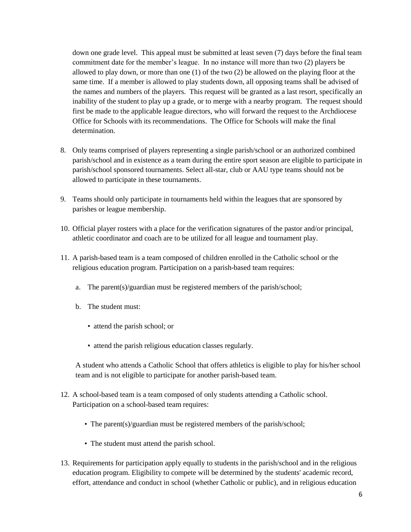down one grade level. This appeal must be submitted at least seven (7) days before the final team commitment date for the member's league. In no instance will more than two (2) players be allowed to play down, or more than one (1) of the two (2) be allowed on the playing floor at the same time. If a member is allowed to play students down, all opposing teams shall be advised of the names and numbers of the players. This request will be granted as a last resort, specifically an inability of the student to play up a grade, or to merge with a nearby program. The request should first be made to the applicable league directors, who will forward the request to the Archdiocese Office for Schools with its recommendations. The Office for Schools will make the final determination.

- 8. Only teams comprised of players representing a single parish/school or an authorized combined parish/school and in existence as a team during the entire sport season are eligible to participate in parish/school sponsored tournaments. Select all-star, club or AAU type teams should not be allowed to participate in these tournaments.
- 9. Teams should only participate in tournaments held within the leagues that are sponsored by parishes or league membership.
- 10. Official player rosters with a place for the verification signatures of the pastor and/or principal, athletic coordinator and coach are to be utilized for all league and tournament play.
- 11. A parish-based team is a team composed of children enrolled in the Catholic school or the religious education program. Participation on a parish-based team requires:
	- a. The parent(s)/guardian must be registered members of the parish/school;
	- b. The student must:
		- attend the parish school; or
		- attend the parish religious education classes regularly.

A student who attends a Catholic School that offers athletics is eligible to play for his/her school team and is not eligible to participate for another parish-based team.

- 12. A school-based team is a team composed of only students attending a Catholic school. Participation on a school-based team requires:
	- The parent(s)/guardian must be registered members of the parish/school;
	- The student must attend the parish school.
- 13. Requirements for participation apply equally to students in the parish/school and in the religious education program. Eligibility to compete will be determined by the students' academic record, effort, attendance and conduct in school (whether Catholic or public), and in religious education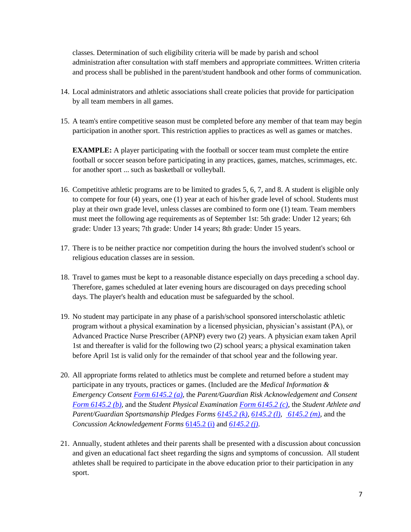classes. Determination of such eligibility criteria will be made by parish and school administration after consultation with staff members and appropriate committees. Written criteria and process shall be published in the parent/student handbook and other forms of communication.

- 14. Local administrators and athletic associations shall create policies that provide for participation by all team members in all games.
- 15. A team's entire competitive season must be completed before any member of that team may begin participation in another sport. This restriction applies to practices as well as games or matches.

**EXAMPLE:** A player participating with the football or soccer team must complete the entire football or soccer season before participating in any practices, games, matches, scrimmages, etc. for another sport ... such as basketball or volleyball.

- 16. Competitive athletic programs are to be limited to grades 5, 6, 7, and 8. A student is eligible only to compete for four (4) years, one (1) year at each of his/her grade level of school. Students must play at their own grade level, unless classes are combined to form one (1) team. Team members must meet the following age requirements as of September 1st: 5th grade: Under 12 years; 6th grade: Under 13 years; 7th grade: Under 14 years; 8th grade: Under 15 years.
- 17. There is to be neither practice nor competition during the hours the involved student's school or religious education classes are in session.
- 18. Travel to games must be kept to a reasonable distance especially on days preceding a school day. Therefore, games scheduled at later evening hours are discouraged on days preceding school days. The player's health and education must be safeguarded by the school.
- 19. No student may participate in any phase of a parish/school sponsored interscholastic athletic program without a physical examination by a licensed physician, physician's assistant (PA), or Advanced Practice Nurse Prescriber (APNP) every two (2) years. A physician exam taken April 1st and thereafter is valid for the following two (2) school years; a physical examination taken before April 1st is valid only for the remainder of that school year and the following year.
- 20. All appropriate forms related to athletics must be complete and returned before a student may participate in any tryouts, practices or games. (Included are the *Medical Information & Emergency Consent [Form 6145.2 \(a\),](http://www.archmil.org/Resources-2.0/Student-Athlete--Medical-Information--Emergency-Consent-.htm)* the *Parent/Guardian Risk Acknowledgement and Consent [Form 6145.2 \(b\),](http://www.archmil.org/Resources-2.0/Parents-andor-Legal-Guardians-Risk-Acknowledgement-and-Consent-to-Participate-.htm)* and the *Student Physical Examinatio[n Form 6145.2 \(c\)](http://www.archmil.org/Resources-2.0/Physical-Examination-Form---Athletic-Participation.htm)*, the *Student Athlete and Parent/Guardian Sportsmanship Pledges Form[s 6145.2 \(k\),](http://www.archmil.org/Resources-2.0/Student-Athlete-Sportsmanship-Pledge.htm) [6145.2 \(l\)](http://www.archmil.org/Resources-2.0/Coach-Sportsmanship-Pledge.htm)*, *[6145.2 \(m\)](http://www.archmil.org/Resources-2.0/ParentGuardian-Sportsmanship-Pledge.htm)*, and the *Concussion Acknowledgement Forms* [6145.2 \(i\)](http://www.archmil.org/Resources-2.0/Coaches-Concussion-Acknowledgement.htm) and *[6145.2 \(j\)](http://www.archmil.org/Resources-2.0/Parent-and-Athlete-Concussion-Acknowledgement.htm)*.
- 21. Annually, student athletes and their parents shall be presented with a discussion about concussion and given an educational fact sheet regarding the signs and symptoms of concussion. All student athletes shall be required to participate in the above education prior to their participation in any sport.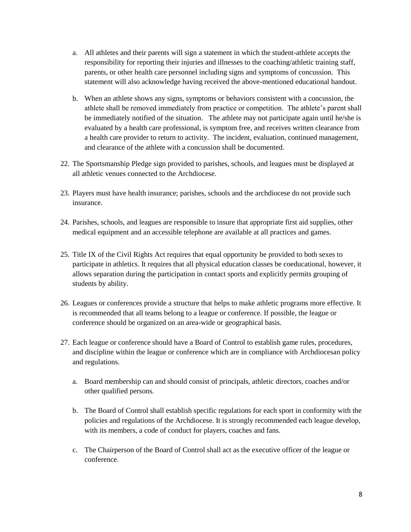- a. All athletes and their parents will sign a statement in which the student-athlete accepts the responsibility for reporting their injuries and illnesses to the coaching/athletic training staff, parents, or other health care personnel including signs and symptoms of concussion. This statement will also acknowledge having received the above-mentioned educational handout.
- b. When an athlete shows any signs, symptoms or behaviors consistent with a concussion, the athlete shall be removed immediately from practice or competition. The athlete's parent shall be immediately notified of the situation. The athlete may not participate again until he/she is evaluated by a health care professional, is symptom free, and receives written clearance from a health care provider to return to activity. The incident, evaluation, continued management, and clearance of the athlete with a concussion shall be documented.
- 22. The Sportsmanship Pledge sign provided to parishes, schools, and leagues must be displayed at all athletic venues connected to the Archdiocese.
- 23. Players must have health insurance; parishes, schools and the archdiocese do not provide such insurance.
- 24. Parishes, schools, and leagues are responsible to insure that appropriate first aid supplies, other medical equipment and an accessible telephone are available at all practices and games.
- 25. Title IX of the Civil Rights Act requires that equal opportunity be provided to both sexes to participate in athletics. It requires that all physical education classes be coeducational, however, it allows separation during the participation in contact sports and explicitly permits grouping of students by ability.
- 26. Leagues or conferences provide a structure that helps to make athletic programs more effective. It is recommended that all teams belong to a league or conference. If possible, the league or conference should be organized on an area-wide or geographical basis.
- 27. Each league or conference should have a Board of Control to establish game rules, procedures, and discipline within the league or conference which are in compliance with Archdiocesan policy and regulations.
	- a. Board membership can and should consist of principals, athletic directors, coaches and/or other qualified persons.
	- b. The Board of Control shall establish specific regulations for each sport in conformity with the policies and regulations of the Archdiocese. It is strongly recommended each league develop, with its members, a code of conduct for players, coaches and fans.
	- c. The Chairperson of the Board of Control shall act as the executive officer of the league or conference.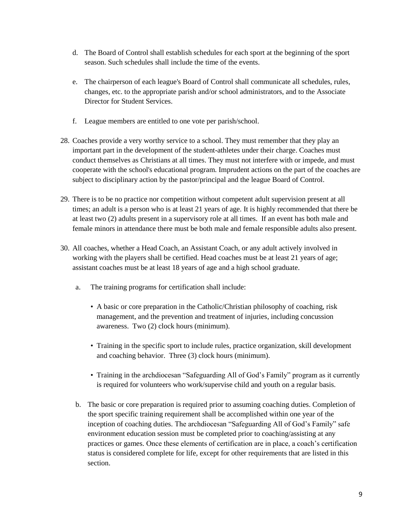- d. The Board of Control shall establish schedules for each sport at the beginning of the sport season. Such schedules shall include the time of the events.
- e. The chairperson of each league's Board of Control shall communicate all schedules, rules, changes, etc. to the appropriate parish and/or school administrators, and to the Associate Director for Student Services.
- f. League members are entitled to one vote per parish/school.
- 28. Coaches provide a very worthy service to a school. They must remember that they play an important part in the development of the student-athletes under their charge. Coaches must conduct themselves as Christians at all times. They must not interfere with or impede, and must cooperate with the school's educational program. Imprudent actions on the part of the coaches are subject to disciplinary action by the pastor/principal and the league Board of Control.
- 29. There is to be no practice nor competition without competent adult supervision present at all times; an adult is a person who is at least 21 years of age. It is highly recommended that there be at least two (2) adults present in a supervisory role at all times. If an event has both male and female minors in attendance there must be both male and female responsible adults also present.
- 30. All coaches, whether a Head Coach, an Assistant Coach, or any adult actively involved in working with the players shall be certified. Head coaches must be at least 21 years of age; assistant coaches must be at least 18 years of age and a high school graduate.
	- a. The training programs for certification shall include:
		- A basic or core preparation in the Catholic/Christian philosophy of coaching, risk management, and the prevention and treatment of injuries, including concussion awareness. Two (2) clock hours (minimum).
		- Training in the specific sport to include rules, practice organization, skill development and coaching behavior. Three (3) clock hours (minimum).
		- Training in the archdiocesan "Safeguarding All of God's Family" program as it currently is required for volunteers who work/supervise child and youth on a regular basis.
	- b. The basic or core preparation is required prior to assuming coaching duties. Completion of the sport specific training requirement shall be accomplished within one year of the inception of coaching duties. The archdiocesan "Safeguarding All of God's Family" safe environment education session must be completed prior to coaching/assisting at any practices or games. Once these elements of certification are in place, a coach's certification status is considered complete for life, except for other requirements that are listed in this section.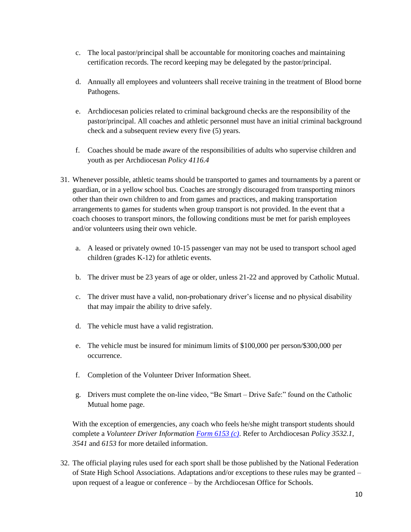- c. The local pastor/principal shall be accountable for monitoring coaches and maintaining certification records. The record keeping may be delegated by the pastor/principal.
- d. Annually all employees and volunteers shall receive training in the treatment of Blood borne Pathogens.
- e. Archdiocesan policies related to criminal background checks are the responsibility of the pastor/principal. All coaches and athletic personnel must have an initial criminal background check and a subsequent review every five (5) years.
- f. Coaches should be made aware of the responsibilities of adults who supervise children and youth as per Archdiocesan *Policy 4116.4*
- 31. Whenever possible, athletic teams should be transported to games and tournaments by a parent or guardian, or in a yellow school bus. Coaches are strongly discouraged from transporting minors other than their own children to and from games and practices, and making transportation arrangements to games for students when group transport is not provided. In the event that a coach chooses to transport minors, the following conditions must be met for parish employees and/or volunteers using their own vehicle.
	- a. A leased or privately owned 10-15 passenger van may not be used to transport school aged children (grades K-12) for athletic events.
	- b. The driver must be 23 years of age or older, unless 21-22 and approved by Catholic Mutual.
	- c. The driver must have a valid, non-probationary driver's license and no physical disability that may impair the ability to drive safely.
	- d. The vehicle must have a valid registration.
	- e. The vehicle must be insured for minimum limits of \$100,000 per person/\$300,000 per occurrence.
	- f. Completion of the Volunteer Driver Information Sheet.
	- g. Drivers must complete the on-line video, "Be Smart Drive Safe:" found on the Catholic Mutual home page.

With the exception of emergencies, any coach who feels he/she might transport students should complete a *Volunteer Driver Information [Form 6153 \(c\)](http://www.archmil.org/Resources/VolunteerDriverInformationSheet.htm)*. Refer to Archdiocesan *Policy 3532.1, 3541* and *6153* for more detailed information.

32. The official playing rules used for each sport shall be those published by the National Federation of State High School Associations. Adaptations and/or exceptions to these rules may be granted – upon request of a league or conference – by the Archdiocesan Office for Schools.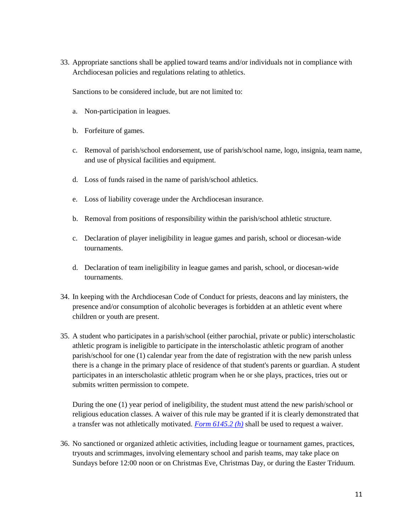33. Appropriate sanctions shall be applied toward teams and/or individuals not in compliance with Archdiocesan policies and regulations relating to athletics.

Sanctions to be considered include, but are not limited to:

- a. Non-participation in leagues.
- b. Forfeiture of games.
- c. Removal of parish/school endorsement, use of parish/school name, logo, insignia, team name, and use of physical facilities and equipment.
- d. Loss of funds raised in the name of parish/school athletics.
- e. Loss of liability coverage under the Archdiocesan insurance.
- b. Removal from positions of responsibility within the parish/school athletic structure.
- c. Declaration of player ineligibility in league games and parish, school or diocesan-wide tournaments.
- d. Declaration of team ineligibility in league games and parish, school, or diocesan-wide tournaments.
- 34. In keeping with the Archdiocesan Code of Conduct for priests, deacons and lay ministers, the presence and/or consumption of alcoholic beverages is forbidden at an athletic event where children or youth are present.
- 35. A student who participates in a parish/school (either parochial, private or public) interscholastic athletic program is ineligible to participate in the interscholastic athletic program of another parish/school for one (1) calendar year from the date of registration with the new parish unless there is a change in the primary place of residence of that student's parents or guardian. A student participates in an interscholastic athletic program when he or she plays, practices, tries out or submits written permission to compete.

During the one (1) year period of ineligibility, the student must attend the new parish/school or religious education classes. A waiver of this rule may be granted if it is clearly demonstrated that a transfer was not athletically motivated. *[Form 6145.2 \(h\)](http://www.archmil.org/Resources-2.0/Student-Transfer-Waiver.htm)* shall be used to request a waiver.

36. No sanctioned or organized athletic activities, including league or tournament games, practices, tryouts and scrimmages, involving elementary school and parish teams, may take place on Sundays before 12:00 noon or on Christmas Eve, Christmas Day, or during the Easter Triduum.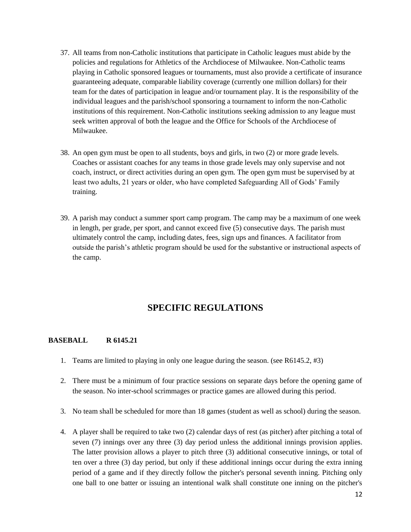- 37. All teams from non-Catholic institutions that participate in Catholic leagues must abide by the policies and regulations for Athletics of the Archdiocese of Milwaukee. Non-Catholic teams playing in Catholic sponsored leagues or tournaments, must also provide a certificate of insurance guaranteeing adequate, comparable liability coverage (currently one million dollars) for their team for the dates of participation in league and/or tournament play. It is the responsibility of the individual leagues and the parish/school sponsoring a tournament to inform the non-Catholic institutions of this requirement. Non-Catholic institutions seeking admission to any league must seek written approval of both the league and the Office for Schools of the Archdiocese of Milwaukee.
- 38. An open gym must be open to all students, boys and girls, in two (2) or more grade levels. Coaches or assistant coaches for any teams in those grade levels may only supervise and not coach, instruct, or direct activities during an open gym. The open gym must be supervised by at least two adults, 21 years or older, who have completed Safeguarding All of Gods' Family training.
- 39. A parish may conduct a summer sport camp program. The camp may be a maximum of one week in length, per grade, per sport, and cannot exceed five (5) consecutive days. The parish must ultimately control the camp, including dates, fees, sign ups and finances. A facilitator from outside the parish's athletic program should be used for the substantive or instructional aspects of the camp.

# **SPECIFIC REGULATIONS**

# **BASEBALL R 6145.21**

- 1. Teams are limited to playing in only one league during the season. (see R6145.2, #3)
- 2. There must be a minimum of four practice sessions on separate days before the opening game of the season. No inter-school scrimmages or practice games are allowed during this period.
- 3. No team shall be scheduled for more than 18 games (student as well as school) during the season.
- 4. A player shall be required to take two (2) calendar days of rest (as pitcher) after pitching a total of seven (7) innings over any three (3) day period unless the additional innings provision applies. The latter provision allows a player to pitch three (3) additional consecutive innings, or total of ten over a three (3) day period, but only if these additional innings occur during the extra inning period of a game and if they directly follow the pitcher's personal seventh inning. Pitching only one ball to one batter or issuing an intentional walk shall constitute one inning on the pitcher's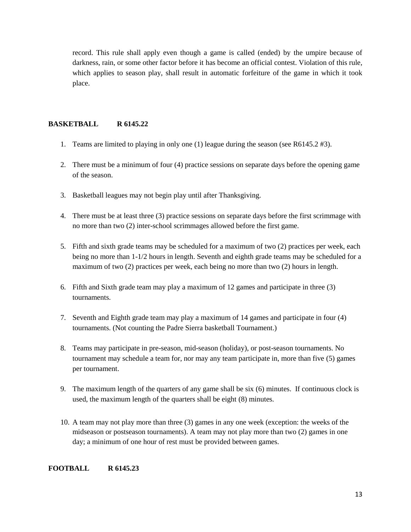record. This rule shall apply even though a game is called (ended) by the umpire because of darkness, rain, or some other factor before it has become an official contest. Violation of this rule, which applies to season play, shall result in automatic forfeiture of the game in which it took place.

## **BASKETBALL R 6145.22**

- 1. Teams are limited to playing in only one (1) league during the season (see R6145.2 #3).
- 2. There must be a minimum of four (4) practice sessions on separate days before the opening game of the season.
- 3. Basketball leagues may not begin play until after Thanksgiving.
- 4. There must be at least three (3) practice sessions on separate days before the first scrimmage with no more than two (2) inter-school scrimmages allowed before the first game.
- 5. Fifth and sixth grade teams may be scheduled for a maximum of two (2) practices per week, each being no more than 1-1/2 hours in length. Seventh and eighth grade teams may be scheduled for a maximum of two (2) practices per week, each being no more than two (2) hours in length.
- 6. Fifth and Sixth grade team may play a maximum of 12 games and participate in three (3) tournaments.
- 7. Seventh and Eighth grade team may play a maximum of 14 games and participate in four (4) tournaments. (Not counting the Padre Sierra basketball Tournament.)
- 8. Teams may participate in pre-season, mid-season (holiday), or post-season tournaments. No tournament may schedule a team for, nor may any team participate in, more than five (5) games per tournament.
- 9. The maximum length of the quarters of any game shall be six (6) minutes. If continuous clock is used, the maximum length of the quarters shall be eight (8) minutes.
- 10. A team may not play more than three (3) games in any one week (exception: the weeks of the midseason or postseason tournaments). A team may not play more than two (2) games in one day; a minimum of one hour of rest must be provided between games.

#### **FOOTBALL R 6145.23**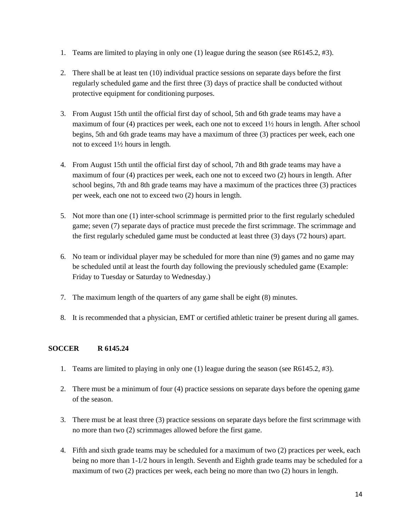- 1. Teams are limited to playing in only one (1) league during the season (see R6145.2, #3).
- 2. There shall be at least ten (10) individual practice sessions on separate days before the first regularly scheduled game and the first three (3) days of practice shall be conducted without protective equipment for conditioning purposes.
- 3. From August 15th until the official first day of school, 5th and 6th grade teams may have a maximum of four (4) practices per week, each one not to exceed 1½ hours in length. After school begins, 5th and 6th grade teams may have a maximum of three (3) practices per week, each one not to exceed 1½ hours in length.
- 4. From August 15th until the official first day of school, 7th and 8th grade teams may have a maximum of four (4) practices per week, each one not to exceed two (2) hours in length. After school begins, 7th and 8th grade teams may have a maximum of the practices three (3) practices per week, each one not to exceed two (2) hours in length.
- 5. Not more than one (1) inter-school scrimmage is permitted prior to the first regularly scheduled game; seven (7) separate days of practice must precede the first scrimmage. The scrimmage and the first regularly scheduled game must be conducted at least three (3) days (72 hours) apart.
- 6. No team or individual player may be scheduled for more than nine (9) games and no game may be scheduled until at least the fourth day following the previously scheduled game (Example: Friday to Tuesday or Saturday to Wednesday.)
- 7. The maximum length of the quarters of any game shall be eight (8) minutes.
- 8. It is recommended that a physician, EMT or certified athletic trainer be present during all games.

# **SOCCER R 6145.24**

- 1. Teams are limited to playing in only one (1) league during the season (see R6145.2, #3).
- 2. There must be a minimum of four (4) practice sessions on separate days before the opening game of the season.
- 3. There must be at least three (3) practice sessions on separate days before the first scrimmage with no more than two (2) scrimmages allowed before the first game.
- 4. Fifth and sixth grade teams may be scheduled for a maximum of two (2) practices per week, each being no more than 1-1/2 hours in length. Seventh and Eighth grade teams may be scheduled for a maximum of two (2) practices per week, each being no more than two (2) hours in length.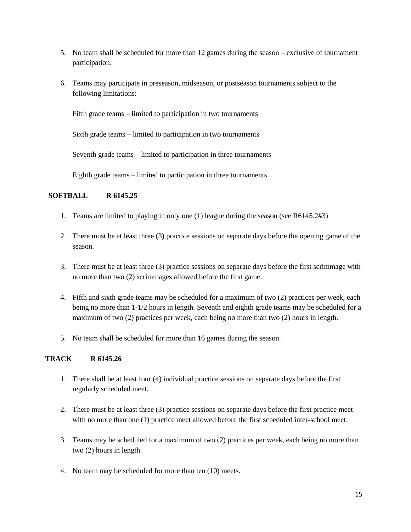- 5. No team shall be scheduled for more than 12 games during the season exclusive of tournament participation.
- 6. Teams may participate in preseason, midseason, or postseason tournaments subject to the following limitations:

Fifth grade teams – limited to participation in two tournaments

Sixth grade teams – limited to participation in two tournaments

Seventh grade teams – limited to participation in three tournaments

Eighth grade teams – limited to participation in three tournaments

# **SOFTBALL R 6145.25**

- 1. Teams are limited to playing in only one (1) league during the season (see R6145.2#3)
- 2. There must be at least three (3) practice sessions on separate days before the opening game of the season.
- 3. There must be at least three (3) practice sessions on separate days before the first scrimmage with no more than two (2) scrimmages allowed before the first game.
- 4. Fifth and sixth grade teams may be scheduled for a maximum of two (2) practices per week, each being no more than 1-1/2 hours in length. Seventh and eighth grade teams may be scheduled for a maximum of two (2) practices per week, each being no more than two (2) hours in length.
- 5. No team shall be scheduled for more than 16 games during the season.

# **TRACK R 6145.26**

- 1. There shall be at least four (4) individual practice sessions on separate days before the first regularly scheduled meet.
- 2. There must be at least three (3) practice sessions on separate days before the first practice meet with no more than one (1) practice meet allowed before the first scheduled inter-school meet.
- 3. Teams may be scheduled for a maximum of two (2) practices per week, each being no more than two (2) hours in length.
- 4. No team may be scheduled for more than ten (10) meets.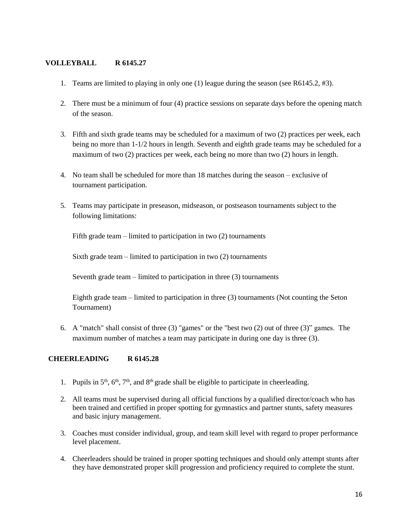# **VOLLEYBALL R 6145.27**

- 1. Teams are limited to playing in only one (1) league during the season (see R6145.2, #3).
- 2. There must be a minimum of four (4) practice sessions on separate days before the opening match of the season.
- 3. Fifth and sixth grade teams may be scheduled for a maximum of two (2) practices per week, each being no more than 1-1/2 hours in length. Seventh and eighth grade teams may be scheduled for a maximum of two (2) practices per week, each being no more than two (2) hours in length.
- 4. No team shall be scheduled for more than 18 matches during the season exclusive of tournament participation.
- 5. Teams may participate in preseason, midseason, or postseason tournaments subject to the following limitations:

Fifth grade team – limited to participation in two (2) tournaments

Sixth grade team – limited to participation in two (2) tournaments

Seventh grade team – limited to participation in three (3) tournaments

Eighth grade team – limited to participation in three (3) tournaments (Not counting the Seton Tournament)

6. A "match" shall consist of three (3) "games" or the "best two (2) out of three (3)" games. The maximum number of matches a team may participate in during one day is three (3).

# **CHEERLEADING R 6145.28**

- 1. Pupils in  $5<sup>th</sup>$ ,  $6<sup>th</sup>$ ,  $7<sup>th</sup>$ , and  $8<sup>th</sup>$  grade shall be eligible to participate in cheerleading.
- 2. All teams must be supervised during all official functions by a qualified director/coach who has been trained and certified in proper spotting for gymnastics and partner stunts, safety measures and basic injury management.
- 3. Coaches must consider individual, group, and team skill level with regard to proper performance level placement.
- 4. Cheerleaders should be trained in proper spotting techniques and should only attempt stunts after they have demonstrated proper skill progression and proficiency required to complete the stunt.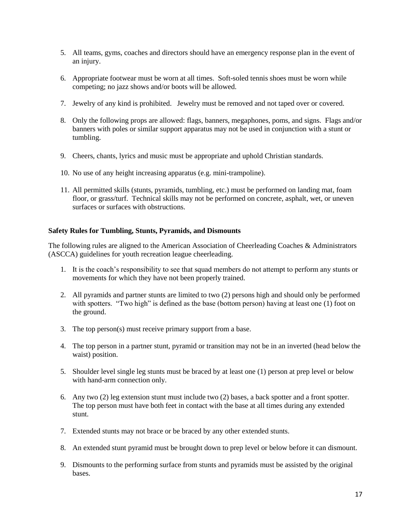- 5. All teams, gyms, coaches and directors should have an emergency response plan in the event of an injury.
- 6. Appropriate footwear must be worn at all times. Soft-soled tennis shoes must be worn while competing; no jazz shows and/or boots will be allowed.
- 7. Jewelry of any kind is prohibited. Jewelry must be removed and not taped over or covered.
- 8. Only the following props are allowed: flags, banners, megaphones, poms, and signs. Flags and/or banners with poles or similar support apparatus may not be used in conjunction with a stunt or tumbling.
- 9. Cheers, chants, lyrics and music must be appropriate and uphold Christian standards.
- 10. No use of any height increasing apparatus (e.g. mini-trampoline).
- 11. All permitted skills (stunts, pyramids, tumbling, etc.) must be performed on landing mat, foam floor, or grass/turf. Technical skills may not be performed on concrete, asphalt, wet, or uneven surfaces or surfaces with obstructions.

#### **Safety Rules for Tumbling, Stunts, Pyramids, and Dismounts**

The following rules are aligned to the American Association of Cheerleading Coaches & Administrators (ASCCA) guidelines for youth recreation league cheerleading.

- 1. It is the coach's responsibility to see that squad members do not attempt to perform any stunts or movements for which they have not been properly trained.
- 2. All pyramids and partner stunts are limited to two (2) persons high and should only be performed with spotters. "Two high" is defined as the base (bottom person) having at least one (1) foot on the ground.
- 3. The top person(s) must receive primary support from a base.
- 4. The top person in a partner stunt, pyramid or transition may not be in an inverted (head below the waist) position.
- 5. Shoulder level single leg stunts must be braced by at least one (1) person at prep level or below with hand-arm connection only.
- 6. Any two (2) leg extension stunt must include two (2) bases, a back spotter and a front spotter. The top person must have both feet in contact with the base at all times during any extended stunt.
- 7. Extended stunts may not brace or be braced by any other extended stunts.
- 8. An extended stunt pyramid must be brought down to prep level or below before it can dismount.
- 9. Dismounts to the performing surface from stunts and pyramids must be assisted by the original bases.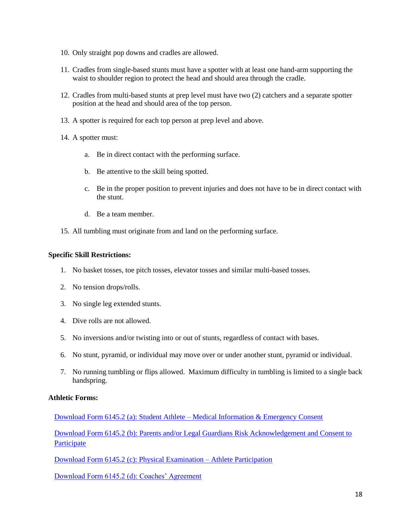- 10. Only straight pop downs and cradles are allowed.
- 11. Cradles from single-based stunts must have a spotter with at least one hand-arm supporting the waist to shoulder region to protect the head and should area through the cradle.
- 12. Cradles from multi-based stunts at prep level must have two (2) catchers and a separate spotter position at the head and should area of the top person.
- 13. A spotter is required for each top person at prep level and above.
- 14. A spotter must:
	- a. Be in direct contact with the performing surface.
	- b. Be attentive to the skill being spotted.
	- c. Be in the proper position to prevent injuries and does not have to be in direct contact with the stunt.
	- d. Be a team member.
- 15. All tumbling must originate from and land on the performing surface.

#### **Specific Skill Restrictions:**

- 1. No basket tosses, toe pitch tosses, elevator tosses and similar multi-based tosses.
- 2. No tension drops/rolls.
- 3. No single leg extended stunts.
- 4. Dive rolls are not allowed.
- 5. No inversions and/or twisting into or out of stunts, regardless of contact with bases.
- 6. No stunt, pyramid, or individual may move over or under another stunt, pyramid or individual.
- 7. No running tumbling or flips allowed. Maximum difficulty in tumbling is limited to a single back handspring.

#### **Athletic Forms:**

[Download Form 6145.2 \(a\): Student Athlete –](http://www.archmil.org/Resources-2.0/Student-Athlete--Medical-Information--Emergency-Consent-.htm) Medical Information & Emergency Consent

[Download Form 6145.2 \(b\): Parents and/or Legal Guardians Risk Acknowledgement and Consent to](http://www.archmil.org/Resources-2.0/Parents-andor-Legal-Guardians-Risk-Acknowledgement-and-Consent-to-Participate-.htm)  **[Participate](http://www.archmil.org/Resources-2.0/Parents-andor-Legal-Guardians-Risk-Acknowledgement-and-Consent-to-Participate-.htm)** 

[Download Form 6145.2 \(c\): Physical Examination –](http://www.archmil.org/Resources-2.0/Physical-Examination-Form---Athletic-Participation.htm) Athlete Participation

[Download Form 6145.2 \(d\): Coaches' Agreement](http://www.archmil.org/Resources-2.0/Coaches-Agreement.htm)